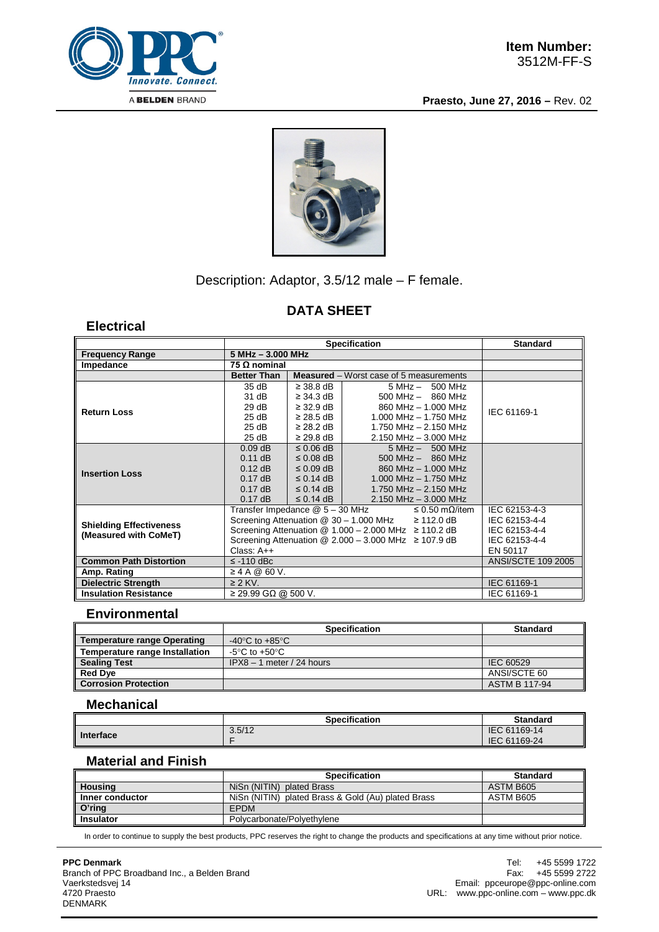

**Praesto, June 27, 2016 –** Rev. 02



## Description: Adaptor, 3.5/12 male – F female.

# **DATA SHEET**

## **Electrical**

|                                |                                                                          | <b>Standard</b>           |                                                           |             |
|--------------------------------|--------------------------------------------------------------------------|---------------------------|-----------------------------------------------------------|-------------|
| <b>Frequency Range</b>         | 5 MHz - 3.000 MHz                                                        |                           |                                                           |             |
| Impedance                      | 75 Ω nominal                                                             |                           |                                                           |             |
|                                | <b>Better Than</b>                                                       |                           | <b>Measured</b> – Worst case of 5 measurements            |             |
|                                | 35 dB                                                                    | $\geq$ 38.8 dB            | $5 MHz - 500 MHz$                                         |             |
|                                | 31 dB                                                                    | $\geq$ 34.3 dB            | $500$ MHz $-$ 860 MHz                                     |             |
| <b>Return Loss</b>             | 29dB                                                                     | $\geq$ 32.9 dB            | 860 MHz - 1,000 MHz                                       | IEC 61169-1 |
|                                | 25 dB                                                                    | $\geq$ 28.5 dB            | 1.000 MHz $-$ 1.750 MHz                                   |             |
|                                | 25 dB                                                                    | $\geq$ 28.2 dB            | 1.750 MHz - 2.150 MHz                                     |             |
|                                | 25 dB                                                                    | $\geq$ 29.8 dB            | 2.150 MHz - 3.000 MHz                                     |             |
|                                | $0.09$ dB                                                                | $\leq$ 0.06 dB            | $5 MHz - 500 MHz$                                         |             |
|                                | $0.11$ dB                                                                | $\leq$ 0.08 dB            | $500$ MHz $-$ 860 MHz                                     |             |
| <b>Insertion Loss</b>          | $0.12$ dB                                                                | $\leq$ 0.09 dB            | 860 MHz - 1.000 MHz                                       |             |
|                                | $0.17$ dB                                                                | $\leq$ 0.14 dB            | 1.000 MHz $-$ 1.750 MHz                                   |             |
|                                | $0.17$ dB                                                                | $\leq$ 0.14 dB            | 1.750 MHz $- 2.150$ MHz                                   |             |
|                                | $0.17$ dB                                                                | $\leq$ 0.14 dB            | $2.150$ MHz $-$ 3.000 MHz<br>$\leq 0.50$ m $\Omega$ /item |             |
|                                | Transfer Impedance @ 5 – 30 MHz                                          | IEC 62153-4-3             |                                                           |             |
| <b>Shielding Effectiveness</b> | Screening Attenuation $@$ 30 - 1.000 MHz $\geq$ 112.0 dB                 | IEC 62153-4-4             |                                                           |             |
| (Measured with CoMeT)          | Screening Attenuation $@ 1.000 - 2.000 \text{ MHz} \ge 110.2 \text{ dB}$ | IEC 62153-4-4             |                                                           |             |
|                                | Screening Attenuation $@ 2.000 - 3.000 \text{ MHz} \ge 107.9 \text{ dB}$ | IEC 62153-4-4             |                                                           |             |
|                                | Class: A++                                                               | EN 50117                  |                                                           |             |
| <b>Common Path Distortion</b>  | $\le$ -110 dBc                                                           | <b>ANSI/SCTE 109 2005</b> |                                                           |             |
| Amp. Rating                    | ≥ 4 A @ 60 V.                                                            |                           |                                                           |             |
| <b>Dielectric Strength</b>     | $\geq$ 2 KV.                                                             | IEC 61169-1               |                                                           |             |
| <b>Insulation Resistance</b>   | $\geq$ 29.99 GΩ @ 500 V.                                                 | IEC 61169-1               |                                                           |             |

## **Environmental**

|                                       | <b>Specification</b>                 | <b>Standard</b>      |  |  |
|---------------------------------------|--------------------------------------|----------------------|--|--|
| <b>Temperature range Operating</b>    | -40 $^{\circ}$ C to +85 $^{\circ}$ C |                      |  |  |
| <b>Temperature range Installation</b> | -5°C to +50°C                        |                      |  |  |
| <b>Sealing Test</b>                   | $IPX8 - 1$ meter / 24 hours          | IEC 60529            |  |  |
| <b>Red Dye</b>                        |                                      | ANSI/SCTE 60         |  |  |
| <b>Corrosion Protection</b>           |                                      | <b>ASTM B 117-94</b> |  |  |

## **Mechanical**

|           | <b>Specification</b> | <b>Standard</b>              |
|-----------|----------------------|------------------------------|
| Interface | 3.5/12               | IEC 61169-14<br>IEC 61169-24 |

#### **Material and Finish**

|                   | <b>Specification</b>                               | <b>Standard</b> |  |  |
|-------------------|----------------------------------------------------|-----------------|--|--|
| Housing           | NiSn (NITIN) plated Brass                          | ASTM B605       |  |  |
| Inner conductor   | NiSn (NITIN) plated Brass & Gold (Au) plated Brass | ASTM B605       |  |  |
| $O^{\prime}$ ring | <b>EPDM</b>                                        |                 |  |  |
| <b>Insulator</b>  | Polycarbonate/Polyethylene                         |                 |  |  |

In order to continue to supply the best products, PPC reserves the right to change the products and specifications at any time without prior notice.

**PPC Denmark**

Branch of PPC Broadband Inc., a Belden Brand Vaerkstedsvej 14 4720 Praesto DENMARK